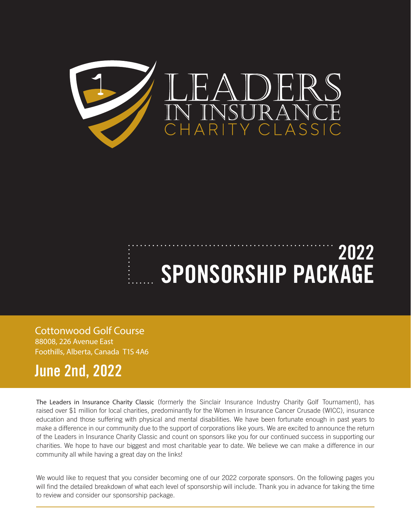

# **2022 SPONSORSHIP PACKAGE**

Cottonwood Golf Course 88008, 226 Avenue East Foothills, Alberta, Canada T1S 4A6

# **June 2nd, 2022**

The Leaders in Insurance Charity Classic (formerly the Sinclair Insurance Industry Charity Golf Tournament), has raised over \$1 million for local charities, predominantly for the Women in Insurance Cancer Crusade (WICC), insurance education and those suffering with physical and mental disabilities. We have been fortunate enough in past years to make a difference in our community due to the support of corporations like yours. We are excited to announce the return of the Leaders in Insurance Charity Classic and count on sponsors like you for our continued success in supporting our charities. We hope to have our biggest and most charitable year to date. We believe we can make a difference in our community all while having a great day on the links!

We would like to request that you consider becoming one of our 2022 corporate sponsors. On the following pages you will find the detailed breakdown of what each level of sponsorship will include. Thank you in advance for taking the time to review and consider our sponsorship package.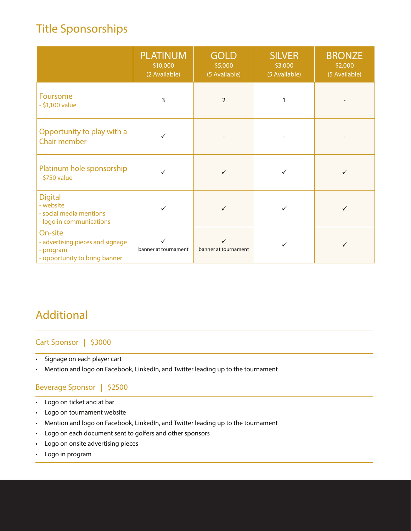# Title Sponsorships

|                                                                                           | <b>PLATINUM</b><br>\$10,000<br>(2 Available) | <b>GOLD</b><br>\$5,000<br>(5 Available) | <b>SILVER</b><br>\$3,000<br>(5 Available) | <b>BRONZE</b><br>\$2,000<br>(5 Available) |
|-------------------------------------------------------------------------------------------|----------------------------------------------|-----------------------------------------|-------------------------------------------|-------------------------------------------|
| Foursome<br>$-$ \$1,100 value                                                             | 3                                            | $\overline{2}$                          | 1                                         |                                           |
| Opportunity to play with a<br><b>Chair member</b>                                         | ✓                                            |                                         |                                           |                                           |
| Platinum hole sponsorship<br>$-$ \$750 value                                              |                                              |                                         |                                           | ✓                                         |
| <b>Digital</b><br>- website<br>- social media mentions<br>- logo in communications        | $\checkmark$                                 | ✓                                       | ✓                                         | ✓                                         |
| On-site<br>- advertising pieces and signage<br>- program<br>- opportunity to bring banner | ✓<br>banner at tournament                    | $\checkmark$<br>banner at tournament    |                                           | ✓                                         |

# Additional

#### Cart Sponsor | \$3000

- Signage on each player cart
- Mention and logo on Facebook, LinkedIn, and Twitter leading up to the tournament

#### Beverage Sponsor | \$2500

- Logo on ticket and at bar
- Logo on tournament website
- Mention and logo on Facebook, LinkedIn, and Twitter leading up to the tournament
- Logo on each document sent to golfers and other sponsors
- Logo on onsite advertising pieces
- Logo in program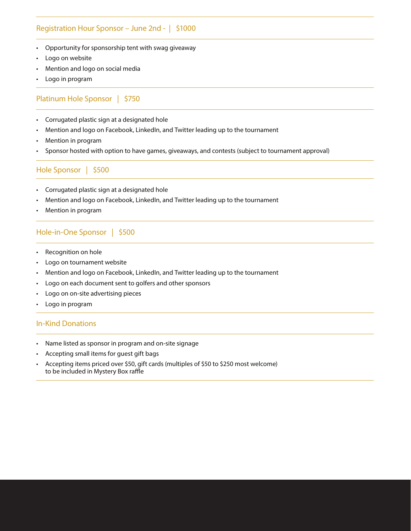#### Registration Hour Sponsor – June 2nd - | \$1000

- Opportunity for sponsorship tent with swag giveaway
- Logo on website
- Mention and logo on social media
- Logo in program

#### Platinum Hole Sponsor | \$750

- Corrugated plastic sign at a designated hole
- Mention and logo on Facebook, LinkedIn, and Twitter leading up to the tournament
- Mention in program
- Sponsor hosted with option to have games, giveaways, and contests (subject to tournament approval)

Hole Sponsor | \$500

- Corrugated plastic sign at a designated hole
- Mention and logo on Facebook, LinkedIn, and Twitter leading up to the tournament
- Mention in program

#### Hole-in-One Sponsor | \$500

- Recognition on hole
- Logo on tournament website
- Mention and logo on Facebook, LinkedIn, and Twitter leading up to the tournament
- Logo on each document sent to golfers and other sponsors
- Logo on on-site advertising pieces
- Logo in program

#### In-Kind Donations

- Name listed as sponsor in program and on-site signage
- Accepting small items for guest gift bags
- Accepting items priced over \$50, gift cards (multiples of \$50 to \$250 most welcome) to be included in Mystery Box raffle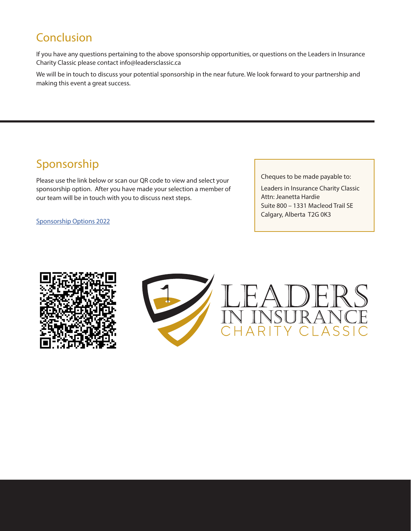### Conclusion

If you have any questions pertaining to the above sponsorship opportunities, or questions on the Leaders in Insurance Charity Classic please contact info@leadersclassic.ca

We will be in touch to discuss your potential sponsorship in the near future. We look forward to your partnership and making this event a great success.

## Sponsorship

Please use the link below or scan our QR code to view and select your sponsorship option. After you have made your selection a member of our team will be in touch with you to discuss next steps.

Sponsorship Options 2022

Cheques to be made payable to:

Leaders in Insurance Charity Classic Attn: Jeanetta Hardie Suite 800 – 1331 Macleod Trail SE Calgary, Alberta T2G 0K3